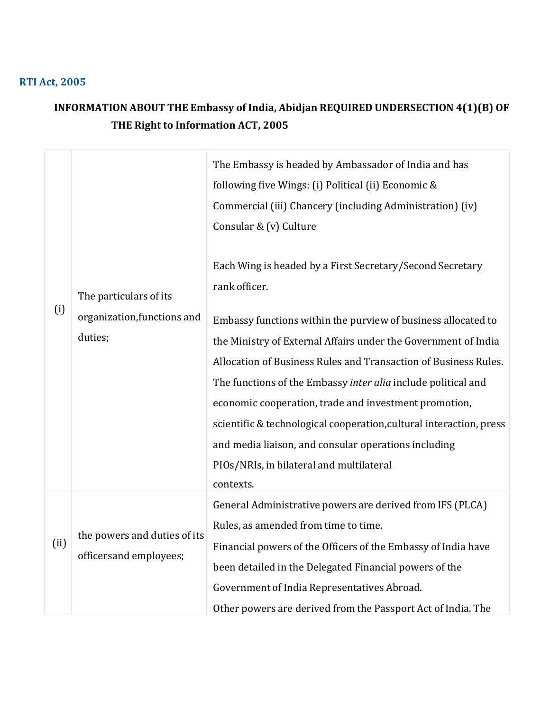## **RTI Act, 2005**

## **INFORMATION ABOUT THE Embassy of India, Abidjan REQUIRED UNDERSECTION 4(1)(B) OF THE Right to Information ACT, 2005**

| (i)  | The particulars of its                                 | The Embassy is headed by Ambassador of India and has<br>following five Wings: (i) Political (ii) Economic &<br>Commercial (iii) Chancery (including Administration) (iv)<br>Consular & (v) Culture |
|------|--------------------------------------------------------|----------------------------------------------------------------------------------------------------------------------------------------------------------------------------------------------------|
|      |                                                        | Each Wing is headed by a First Secretary/Second Secretary<br>rank officer.                                                                                                                         |
|      | organization, functions and                            | Embassy functions within the purview of business allocated to                                                                                                                                      |
|      | duties;                                                | the Ministry of External Affairs under the Government of India                                                                                                                                     |
|      |                                                        | Allocation of Business Rules and Transaction of Business Rules.                                                                                                                                    |
|      |                                                        | The functions of the Embassy inter alia include political and                                                                                                                                      |
|      |                                                        | economic cooperation, trade and investment promotion,                                                                                                                                              |
|      |                                                        | scientific & technological cooperation, cultural interaction, press                                                                                                                                |
|      |                                                        | and media liaison, and consular operations including                                                                                                                                               |
|      |                                                        | PIOs/NRIs, in bilateral and multilateral                                                                                                                                                           |
|      |                                                        | contexts.                                                                                                                                                                                          |
| (ii) |                                                        | General Administrative powers are derived from IFS (PLCA)                                                                                                                                          |
|      | the powers and duties of its<br>officersand employees; | Rules, as amended from time to time.                                                                                                                                                               |
|      |                                                        | Financial powers of the Officers of the Embassy of India have                                                                                                                                      |
|      |                                                        | been detailed in the Delegated Financial powers of the                                                                                                                                             |
|      |                                                        | Government of India Representatives Abroad.                                                                                                                                                        |
|      |                                                        | Other powers are derived from the Passport Act of India. The                                                                                                                                       |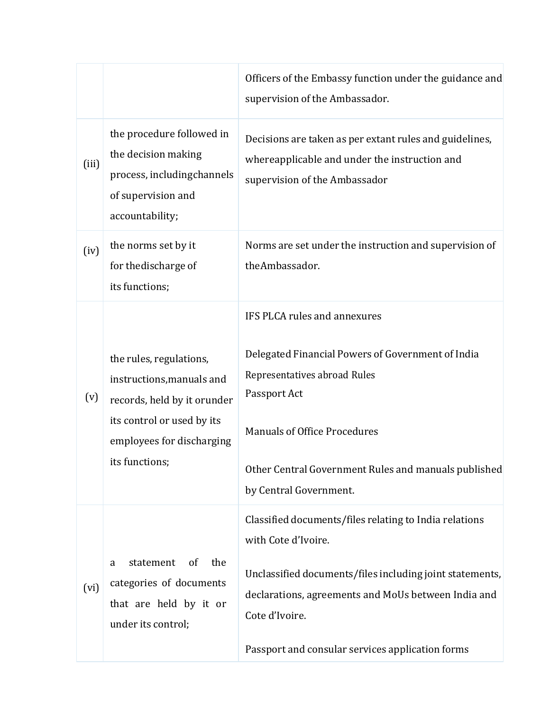|       |                                                                                                                                                                  | Officers of the Embassy function under the guidance and<br>supervision of the Ambassador.                                                                                                                                                                              |
|-------|------------------------------------------------------------------------------------------------------------------------------------------------------------------|------------------------------------------------------------------------------------------------------------------------------------------------------------------------------------------------------------------------------------------------------------------------|
| (iii) | the procedure followed in<br>the decision making<br>process, includingchannels<br>of supervision and<br>accountability;                                          | Decisions are taken as per extant rules and guidelines,<br>whereapplicable and under the instruction and<br>supervision of the Ambassador                                                                                                                              |
| (iv)  | the norms set by it<br>for the discharge of<br>its functions;                                                                                                    | Norms are set under the instruction and supervision of<br>theAmbassador.                                                                                                                                                                                               |
| (v)   | the rules, regulations,<br>instructions, manuals and<br>records, held by it orunder<br>its control or used by its<br>employees for discharging<br>its functions; | IFS PLCA rules and annexures<br>Delegated Financial Powers of Government of India<br>Representatives abroad Rules<br>Passport Act<br><b>Manuals of Office Procedures</b><br>Other Central Government Rules and manuals published<br>by Central Government.             |
| (vi)  | statement<br>the<br>of<br>a<br>categories of documents<br>that are held by it or<br>under its control;                                                           | Classified documents/files relating to India relations<br>with Cote d'Ivoire.<br>Unclassified documents/files including joint statements,<br>declarations, agreements and MoUs between India and<br>Cote d'Ivoire.<br>Passport and consular services application forms |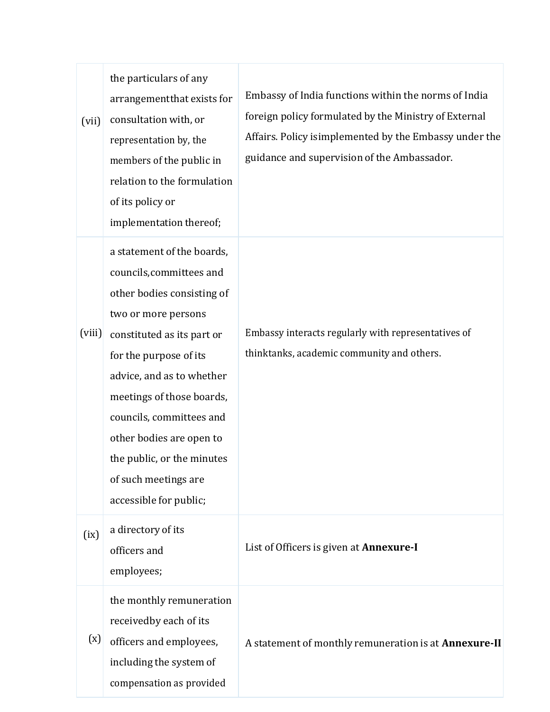| (vii)  | the particulars of any<br>arrangementthat exists for<br>consultation with, or<br>representation by, the<br>members of the public in<br>relation to the formulation<br>of its policy or<br>implementation thereof;                                                                                                                                                     | Embassy of India functions within the norms of India<br>foreign policy formulated by the Ministry of External<br>Affairs. Policy isimplemented by the Embassy under the<br>guidance and supervision of the Ambassador. |
|--------|-----------------------------------------------------------------------------------------------------------------------------------------------------------------------------------------------------------------------------------------------------------------------------------------------------------------------------------------------------------------------|------------------------------------------------------------------------------------------------------------------------------------------------------------------------------------------------------------------------|
| (viii) | a statement of the boards,<br>councils, committees and<br>other bodies consisting of<br>two or more persons<br>constituted as its part or<br>for the purpose of its<br>advice, and as to whether<br>meetings of those boards,<br>councils, committees and<br>other bodies are open to<br>the public, or the minutes<br>of such meetings are<br>accessible for public; | Embassy interacts regularly with representatives of<br>thinktanks, academic community and others.                                                                                                                      |
| (ix)   | a directory of its<br>officers and<br>employees;                                                                                                                                                                                                                                                                                                                      | List of Officers is given at <b>Annexure-I</b>                                                                                                                                                                         |
| (x)    | the monthly remuneration<br>receivedby each of its<br>officers and employees,<br>including the system of<br>compensation as provided                                                                                                                                                                                                                                  | A statement of monthly remuneration is at Annexure-II                                                                                                                                                                  |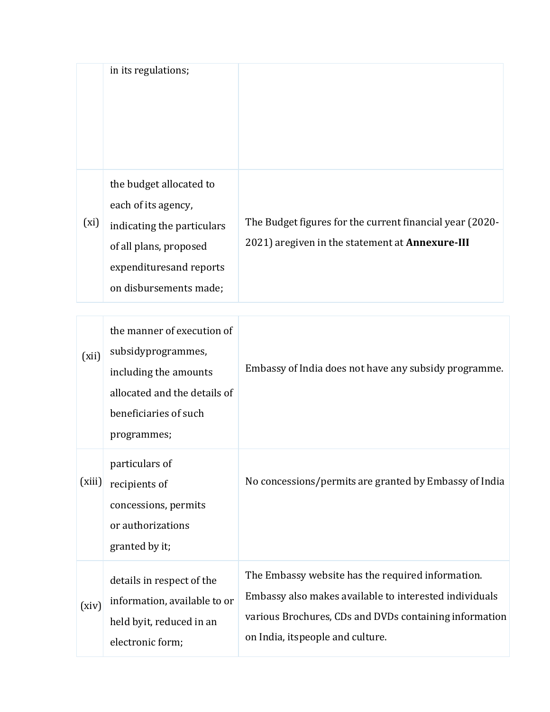|      | in its regulations;                                                                                                                                          |                                                                                                                    |
|------|--------------------------------------------------------------------------------------------------------------------------------------------------------------|--------------------------------------------------------------------------------------------------------------------|
| (xi) | the budget allocated to<br>each of its agency,<br>indicating the particulars<br>of all plans, proposed<br>expenditures and reports<br>on disbursements made; | The Budget figures for the current financial year (2020-<br>2021) aregiven in the statement at <b>Annexure-III</b> |

| (xii)  | the manner of execution of<br>subsidyprogrammes,<br>including the amounts<br>allocated and the details of<br>beneficiaries of such<br>programmes; | Embassy of India does not have any subsidy programme.                                                                                                                                                     |
|--------|---------------------------------------------------------------------------------------------------------------------------------------------------|-----------------------------------------------------------------------------------------------------------------------------------------------------------------------------------------------------------|
| (xiii) | particulars of<br>recipients of<br>concessions, permits<br>or authorizations<br>granted by it;                                                    | No concessions/permits are granted by Embassy of India                                                                                                                                                    |
| (xiv)  | details in respect of the<br>information, available to or<br>held byit, reduced in an<br>electronic form;                                         | The Embassy website has the required information.<br>Embassy also makes available to interested individuals<br>various Brochures, CDs and DVDs containing information<br>on India, itspeople and culture. |